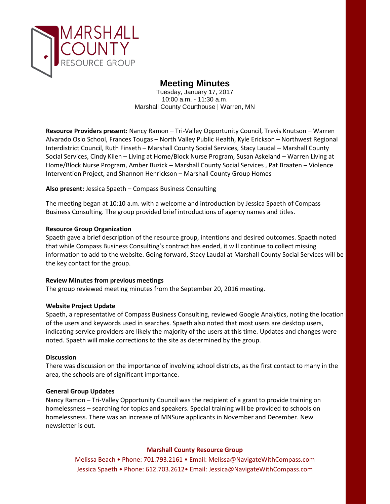

# **Meeting Minutes**

Tuesday, January 17, 2017 10:00 a.m. - 11:30 a.m. Marshall County Courthouse | Warren, MN

**Resource Providers present:** Nancy Ramon – Tri-Valley Opportunity Council, Trevis Knutson – Warren Alvarado Oslo School, Frances Tougas – North Valley Public Health, Kyle Erickson – Northwest Regional Interdistrict Council, Ruth Finseth – Marshall County Social Services, Stacy Laudal – Marshall County Social Services, Cindy Kilen – Living at Home/Block Nurse Program, Susan Askeland – Warren Living at Home/Block Nurse Program, Amber Buzick – Marshall County Social Services , Pat Braaten – Violence Intervention Project, and Shannon Henrickson – Marshall County Group Homes

### **Also present:** Jessica Spaeth – Compass Business Consulting

The meeting began at 10:10 a.m. with a welcome and introduction by Jessica Spaeth of Compass Business Consulting. The group provided brief introductions of agency names and titles.

### **Resource Group Organization**

Spaeth gave a brief description of the resource group, intentions and desired outcomes. Spaeth noted that while Compass Business Consulting's contract has ended, it will continue to collect missing information to add to the website. Going forward, Stacy Laudal at Marshall County Social Services will be the key contact for the group.

#### **Review Minutes from previous meetings**

The group reviewed meeting minutes from the September 20, 2016 meeting.

#### **Website Project Update**

Spaeth, a representative of Compass Business Consulting, reviewed Google Analytics, noting the location of the users and keywords used in searches. Spaeth also noted that most users are desktop users, indicating service providers are likely the majority of the users at this time. Updates and changes were noted. Spaeth will make corrections to the site as determined by the group.

### **Discussion**

There was discussion on the importance of involving school districts, as the first contact to many in the area, the schools are of significant importance.

#### **General Group Updates**

Nancy Ramon – Tri-Valley Opportunity Council was the recipient of a grant to provide training on homelessness – searching for topics and speakers. Special training will be provided to schools on homelessness. There was an increase of MNSure applicants in November and December. New newsletter is out.

## **Marshall County Resource Group**

Melissa Beach • Phone: 701.793.2161 • Email: Melissa@NavigateWithCompass.com Jessica Spaeth • Phone: 612.703.2612• Email: Jessica@NavigateWithCompass.com